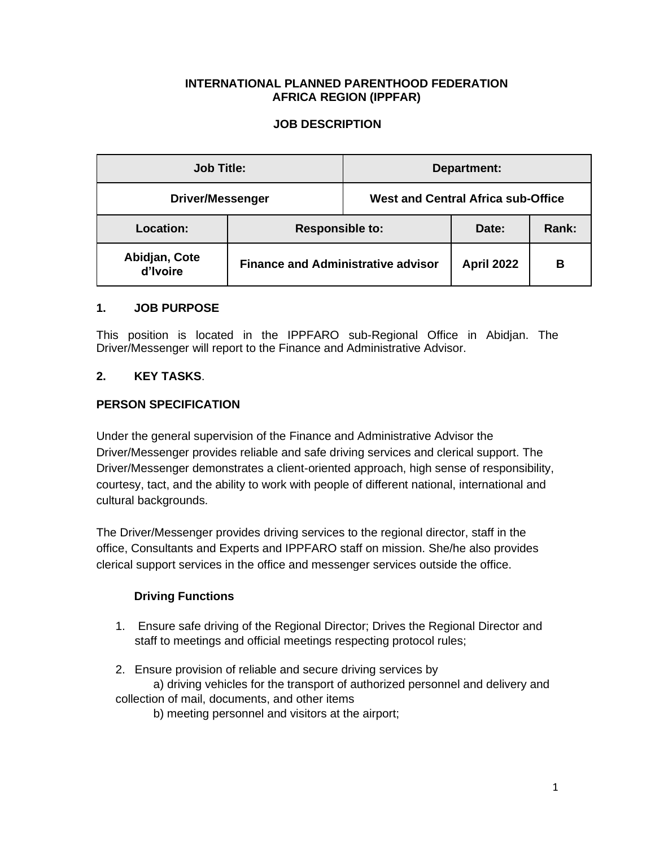## **INTERNATIONAL PLANNED PARENTHOOD FEDERATION AFRICA REGION (IPPFAR)**

## **JOB DESCRIPTION**

| <b>Job Title:</b>         |                                           | Department:                               |                   |       |
|---------------------------|-------------------------------------------|-------------------------------------------|-------------------|-------|
| <b>Driver/Messenger</b>   |                                           | <b>West and Central Africa sub-Office</b> |                   |       |
| Location:                 | <b>Responsible to:</b>                    |                                           | Date:             | Rank: |
| Abidjan, Cote<br>d'Ivoire | <b>Finance and Administrative advisor</b> |                                           | <b>April 2022</b> | в     |

### **1. JOB PURPOSE**

This position is located in the IPPFARO sub-Regional Office in Abidjan. The Driver/Messenger will report to the Finance and Administrative Advisor.

# **2. KEY TASKS**.

## **PERSON SPECIFICATION**

Under the general supervision of the Finance and Administrative Advisor the Driver/Messenger provides reliable and safe driving services and clerical support. The Driver/Messenger demonstrates a client-oriented approach, high sense of responsibility, courtesy, tact, and the ability to work with people of different national, international and cultural backgrounds.

The Driver/Messenger provides driving services to the regional director, staff in the office, Consultants and Experts and IPPFARO staff on mission. She/he also provides clerical support services in the office and messenger services outside the office.

## **Driving Functions**

- 1. Ensure safe driving of the Regional Director; Drives the Regional Director and staff to meetings and official meetings respecting protocol rules;
- 2. Ensure provision of reliable and secure driving services by

a) driving vehicles for the transport of authorized personnel and delivery and collection of mail, documents, and other items

b) meeting personnel and visitors at the airport;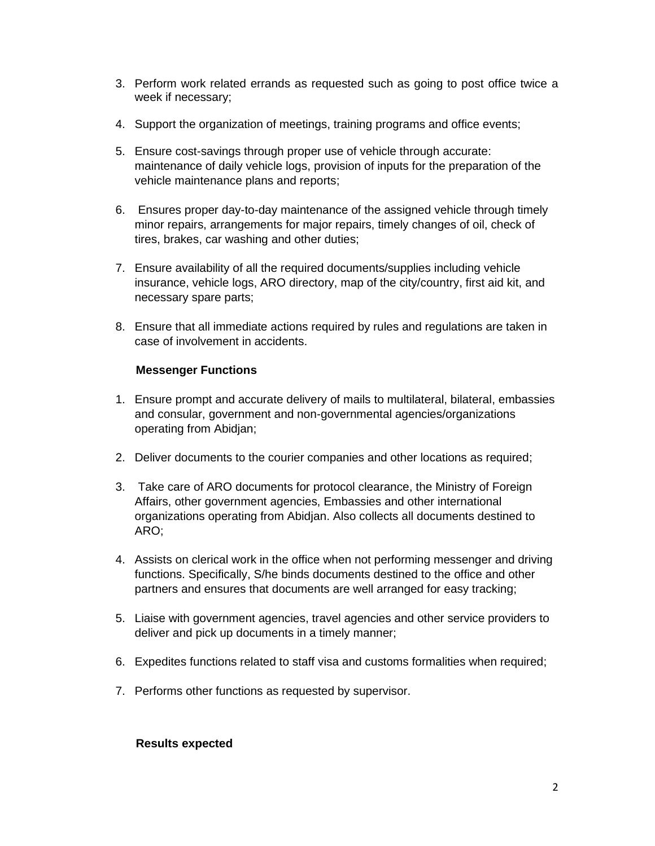- 3. Perform work related errands as requested such as going to post office twice a week if necessary;
- 4. Support the organization of meetings, training programs and office events;
- 5. Ensure cost-savings through proper use of vehicle through accurate: maintenance of daily vehicle logs, provision of inputs for the preparation of the vehicle maintenance plans and reports;
- 6. Ensures proper day-to-day maintenance of the assigned vehicle through timely minor repairs, arrangements for major repairs, timely changes of oil, check of tires, brakes, car washing and other duties;
- 7. Ensure availability of all the required documents/supplies including vehicle insurance, vehicle logs, ARO directory, map of the city/country, first aid kit, and necessary spare parts;
- 8. Ensure that all immediate actions required by rules and regulations are taken in case of involvement in accidents.

## **Messenger Functions**

- 1. Ensure prompt and accurate delivery of mails to multilateral, bilateral, embassies and consular, government and non-governmental agencies/organizations operating from Abidjan;
- 2. Deliver documents to the courier companies and other locations as required;
- 3. Take care of ARO documents for protocol clearance, the Ministry of Foreign Affairs, other government agencies, Embassies and other international organizations operating from Abidjan. Also collects all documents destined to ARO;
- 4. Assists on clerical work in the office when not performing messenger and driving functions. Specifically, S/he binds documents destined to the office and other partners and ensures that documents are well arranged for easy tracking;
- 5. Liaise with government agencies, travel agencies and other service providers to deliver and pick up documents in a timely manner;
- 6. Expedites functions related to staff visa and customs formalities when required;
- 7. Performs other functions as requested by supervisor.

### **Results expected**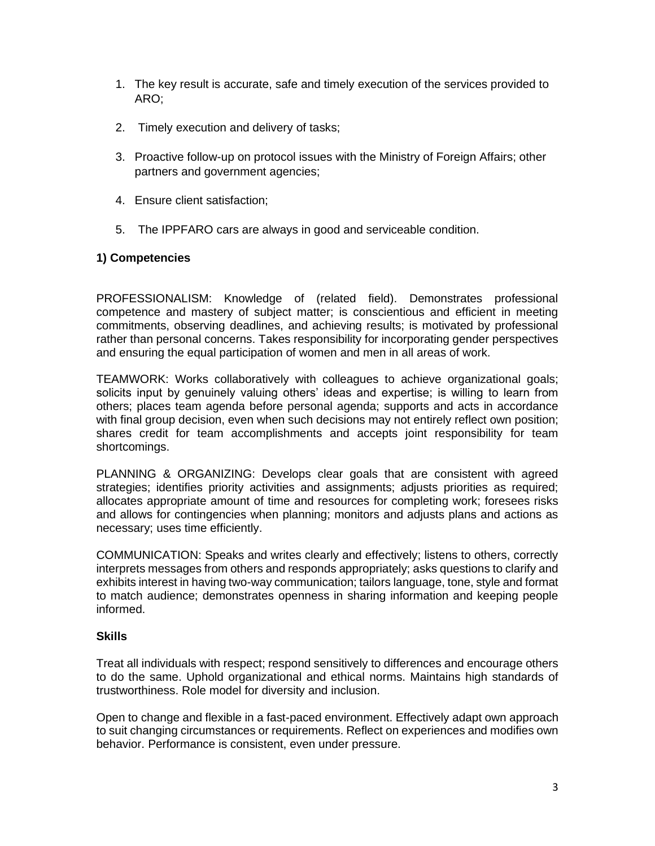- 1. The key result is accurate, safe and timely execution of the services provided to ARO;
- 2. Timely execution and delivery of tasks;
- 3. Proactive follow-up on protocol issues with the Ministry of Foreign Affairs; other partners and government agencies;
- 4. Ensure client satisfaction;
- 5. The IPPFARO cars are always in good and serviceable condition.

## **1) Competencies**

PROFESSIONALISM: Knowledge of (related field). Demonstrates professional competence and mastery of subject matter; is conscientious and efficient in meeting commitments, observing deadlines, and achieving results; is motivated by professional rather than personal concerns. Takes responsibility for incorporating gender perspectives and ensuring the equal participation of women and men in all areas of work.

TEAMWORK: Works collaboratively with colleagues to achieve organizational goals; solicits input by genuinely valuing others' ideas and expertise; is willing to learn from others; places team agenda before personal agenda; supports and acts in accordance with final group decision, even when such decisions may not entirely reflect own position; shares credit for team accomplishments and accepts joint responsibility for team shortcomings.

PLANNING & ORGANIZING: Develops clear goals that are consistent with agreed strategies; identifies priority activities and assignments; adjusts priorities as required; allocates appropriate amount of time and resources for completing work; foresees risks and allows for contingencies when planning; monitors and adjusts plans and actions as necessary; uses time efficiently.

COMMUNICATION: Speaks and writes clearly and effectively; listens to others, correctly interprets messages from others and responds appropriately; asks questions to clarify and exhibits interest in having two-way communication; tailors language, tone, style and format to match audience; demonstrates openness in sharing information and keeping people informed.

### **Skills**

Treat all individuals with respect; respond sensitively to differences and encourage others to do the same. Uphold organizational and ethical norms. Maintains high standards of trustworthiness. Role model for diversity and inclusion.

Open to change and flexible in a fast-paced environment. Effectively adapt own approach to suit changing circumstances or requirements. Reflect on experiences and modifies own behavior. Performance is consistent, even under pressure.